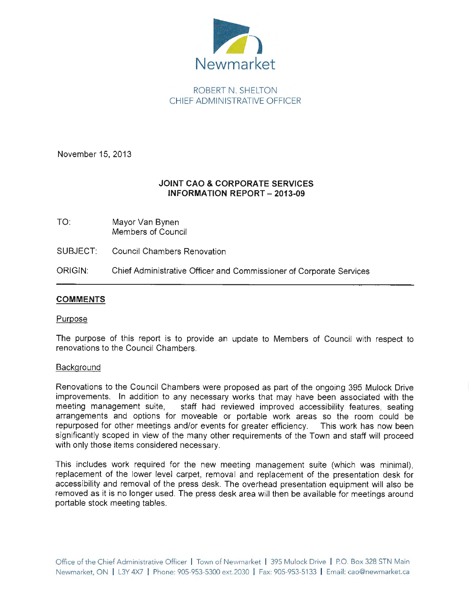

# ROBERT N. SHELTON CHIEF ADMINISTRATIVE OFFICER

November 15, 2013

### **JOINT CAO & CORPORATE SERVICES INFORMATION REPORT - 2013-09**

- TO: Mayor Van Bynen Members of Council
- SUBJECT: Council Chambers Renovation
- ORIGIN: Chief Administrative Officer and Commissioner of Corporate Services

### **COMMENTS**

#### Purpose

The purpose of this report is to provide an update to Members of Council with respect to renovations to the Council Chambers.

#### **Background**

Renovations to the Council Chambers were proposed as part of the ongoing 395 Mulock Drive improvements. In addition to any necessary works that may have been associated with the meeting management suite, staff had reviewed improved accessibility features, seating arrangements and options for moveable or portable work areas so the room could be repurposed for other meetings and/or events for greater efficiency. This work has now been significantly scoped in view of the many other requirements of the Town and staff will proceed with only those items considered necessary.

This includes work required for the new meeting management suite (which was minimal), replacement of the lower level carpet, removal and replacement of the presentation desk for accessibility and removal of the press desk. The overhead presentation equipment will also be removed as it is no longer used. The press desk area will then be available for meetings around portable stock meeting tables.